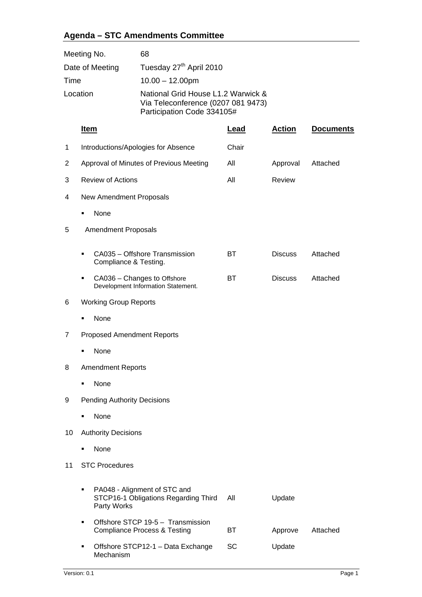## **Agenda – STC Amendments Committee**

| Meeting No.     | 68                                                                                                     |
|-----------------|--------------------------------------------------------------------------------------------------------|
| Date of Meeting | Tuesday 27 <sup>th</sup> April 2010                                                                    |
| Time            | $10.00 - 12.00$ pm                                                                                     |
| Location        | National Grid House L1.2 Warwick &<br>Via Teleconference (0207 081 9473)<br>Participation Code 334105# |

|    | <u>Item</u>                                                                              | Lead  | <b>Action</b>  | <b>Documents</b> |
|----|------------------------------------------------------------------------------------------|-------|----------------|------------------|
| 1  | Introductions/Apologies for Absence                                                      | Chair |                |                  |
| 2  | Approval of Minutes of Previous Meeting                                                  | All   | Approval       | Attached         |
| 3  | <b>Review of Actions</b>                                                                 | All   | Review         |                  |
| 4  | New Amendment Proposals                                                                  |       |                |                  |
|    | None<br>٠                                                                                |       |                |                  |
| 5  | <b>Amendment Proposals</b>                                                               |       |                |                  |
|    | CA035 - Offshore Transmission<br>Compliance & Testing.                                   | ВT    | <b>Discuss</b> | Attached         |
|    | CA036 - Changes to Offshore<br>Development Information Statement.                        | BT    | <b>Discuss</b> | Attached         |
| 6  | <b>Working Group Reports</b>                                                             |       |                |                  |
|    | None                                                                                     |       |                |                  |
| 7  | <b>Proposed Amendment Reports</b>                                                        |       |                |                  |
|    | None                                                                                     |       |                |                  |
| 8  | <b>Amendment Reports</b>                                                                 |       |                |                  |
|    | None<br>▪                                                                                |       |                |                  |
| 9  | <b>Pending Authority Decisions</b>                                                       |       |                |                  |
|    | None<br>▪                                                                                |       |                |                  |
| 10 | <b>Authority Decisions</b>                                                               |       |                |                  |
|    | None                                                                                     |       |                |                  |
| 11 | <b>STC Procedures</b>                                                                    |       |                |                  |
|    | PA048 - Alignment of STC and<br>٠<br>STCP16-1 Obligations Regarding Third<br>Party Works | All   | Update         |                  |
|    | Offshore STCP 19-5 - Transmission<br>٠<br><b>Compliance Process &amp; Testing</b>        | ВT    | Approve        | Attached         |
|    | Offshore STCP12-1 - Data Exchange                                                        | SC    | Update         |                  |

Mechanism